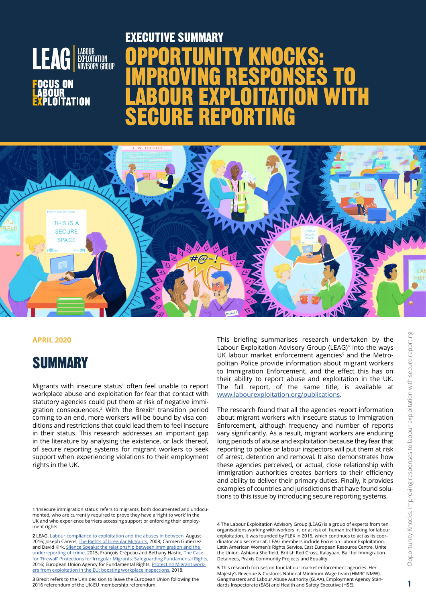

PLOITATION

# OPPORTUNITY KNOCKS: IMPROVING RESPONSES TO LABOUR EXPLOITATION WITH SECURE REPORTING EXECUTIVE SUMMARY



#### **APRIL 2020**

# **SUMMARY**

Migrants with insecure status $1$  often feel unable to report workplace abuse and exploitation for fear that contact with statutory agencies could put them at risk of negative immigration consequences. $2$  With the Brexit $3$  transition period coming to an end, more workers will be bound by visa conditions and restrictions that could lead them to feel insecure in their status. This research addresses an important gap in the literature by analysing the existence, or lack thereof, of secure reporting systems for migrant workers to seek support when experiencing violations to their employment rights in the UK.

This briefing summarises research undertaken by the Labour Exploitation Advisory Group (LEAG)<sup>4</sup> into the ways UK labour market enforcement agencies<sup>5</sup> and the Metropolitan Police provide information about migrant workers to Immigration Enforcement, and the effect this has on their ability to report abuse and exploitation in the UK. The full report, of the same title, is available at [www.labourexploitation.org/publications](http://www.labourexploitation.org/publications).

The research found that all the agencies report information about migrant workers with insecure status to Immigration Enforcement, although frequency and number of reports vary significantly. As a result, migrant workers are enduring long periods of abuse and exploitation because they fear that reporting to police or labour inspectors will put them at risk of arrest, detention and removal. It also demonstrates how these agencies perceived, or actual, close relationship with immigration authorities creates barriers to their efficiency and ability to deliver their primary duties. Finally, it provides examples of countries and jurisdictions that have found solutions to this issue by introducing secure reporting systems.

**<sup>1</sup>** 'Insecure immigration status' refers to migrants, both documented and undocumented, who are currently required to prove they have a 'right to work' in the UK and who experience barriers accessing support or enforcing their employment rights.

**<sup>2</sup>** LEAG, [Labour compliance to exploitation and the abuses in between,](https://www.labourexploitation.org/publications/labour-exploitation-advisory-group-leag-position-paper-labour-compliance-exploitation) August 2016; Joseph Carens, [The Rights of Irregular Migrants,](http://www.lecre.umontreal.ca/wp-content/uploads/2008/12/pdf_Joe_Carens.pdf) 2008; Carmen Gutierrez and David Kirk, [Silence Speaks: the relationship between immigration and the](https://journals.sagepub.com/doi/abs/10.1177/0011128715599993)  [underreporting of crime,](https://journals.sagepub.com/doi/abs/10.1177/0011128715599993) 2015; François Crépeau and Bethany Hastie, [The Case](https://papers.ssrn.com/sol3/papers.cfm?abstract_id=2780641) [for 'Firewall' Protections for Irregular Migrants: Safeguarding Fundamental Rights,](https://papers.ssrn.com/sol3/papers.cfm?abstract_id=2780641) 2016; European Union Agency for Fundamental Rights, [Protecting Migrant work](https://fra.europa.eu/sites/default/files/fra_uploads/fra-2018-protecting-migrant-workers-boosting-inspections_en.pdf)[ers from exploitation in the EU: boosting workplace inspections,](https://fra.europa.eu/sites/default/files/fra_uploads/fra-2018-protecting-migrant-workers-boosting-inspections_en.pdf) 2018.

**<sup>3</sup>** Brexit refers to the UK's decision to leave the European Union following the 2016 referendum of the UK-EU membership referendum.

**<sup>4</sup>** The Labour Exploitation Advisory Group (LEAG) is a group of experts from ten organisations working with workers in, or at risk of, human trafficking for labour exploitation. It was founded by FLEX in 2015, which continues to act as its coordinator and secretariat. LEAG members include Focus on Labour Exploitation, Latin American Women's Rights Service, East European Resource Centre, Unite the Union, Ashiana Sheffield, British Red Cross, Kalayaan, Bail for Immigration Detainees, Praxis Community Projects and Equality.

**<sup>5</sup>** This research focuses on four labour market enforcement agencies: Her Majesty's Revenue & Customs National Minimum Wage team (HMRC NMW), Gangmasters and Labour Abuse Authority (GLAA), Employment Agency Standards Inspectorate (EAS) and Health and Safety Executive (HSE).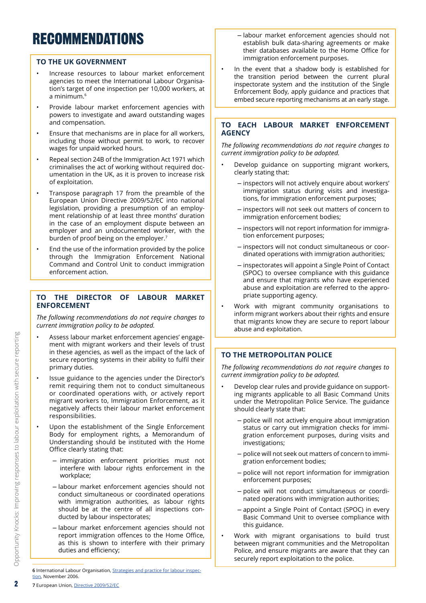# RECOMMENDATIONS

### **TO THE UK GOVERNMENT**

- Increase resources to labour market enforcement agencies to meet the International Labour Organisation's target of one inspection per 10,000 workers, at a minimum.6
- Provide labour market enforcement agencies with powers to investigate and award outstanding wages and compensation.
- Ensure that mechanisms are in place for all workers, including those without permit to work, to recover wages for unpaid worked hours.
- Repeal section 24B of the Immigration Act 1971 which criminalises the act of working without required documentation in the UK, as it is proven to increase risk of exploitation.
- Transpose paragraph 17 from the preamble of the European Union Directive 2009/52/EC into national legislation, providing a presumption of an employment relationship of at least three months' duration in the case of an employment dispute between an employer and an undocumented worker, with the burden of proof being on the employer.<sup>7</sup>
- End the use of the information provided by the police through the Immigration Enforcement National Command and Control Unit to conduct immigration enforcement action.

### **TO THE DIRECTOR OF LABOUR MARKET ENFORCEMENT**

*The following recommendations do not require changes to current immigration policy to be adopted.*

- Assess labour market enforcement agencies' engagement with migrant workers and their levels of trust in these agencies, as well as the impact of the lack of secure reporting systems in their ability to fulfil their primary duties.
- Issue guidance to the agencies under the Director's remit requiring them not to conduct simultaneous or coordinated operations with, or actively report migrant workers to, Immigration Enforcement, as it negatively affects their labour market enforcement responsibilities.
- Upon the establishment of the Single Enforcement Body for employment rights, a Memorandum of Understanding should be instituted with the Home Office clearly stating that:
	- **–** immigration enforcement priorities must not interfere with labour rights enforcement in the workplace;
	- **–** labour market enforcement agencies should not conduct simultaneous or coordinated operations with immigration authorities, as labour rights should be at the centre of all inspections conducted by labour inspectorates;
	- **–** labour market enforcement agencies should not report immigration offences to the Home Office, as this is shown to interfere with their primary duties and efficiency;

**6** International Labour Organisation, [Strategies and practice for labour inspec](https://www.ilo.org/public/english/standards/relm/gb/docs/gb297/pdf/esp-3.pdf)[tion](https://www.ilo.org/public/english/standards/relm/gb/docs/gb297/pdf/esp-3.pdf), November 2006.

- **–** labour market enforcement agencies should not establish bulk data-sharing agreements or make their databases available to the Home Office for immigration enforcement purposes.
- In the event that a shadow body is established for the transition period between the current plural inspectorate system and the institution of the Single Enforcement Body, apply guidance and practices that embed secure reporting mechanisms at an early stage.

### **TO EACH LABOUR MARKET ENFORCEMENT AGENCY**

*The following recommendations do not require changes to current immigration policy to be adopted.*

- Develop guidance on supporting migrant workers, clearly stating that:
	- **–** inspectors will not actively enquire about workers' immigration status during visits and investigations, for immigration enforcement purposes;
	- **–** inspectors will not seek out matters of concern to immigration enforcement bodies;
	- **–** inspectors will not report information for immigration enforcement purposes;
	- **–** inspectors will not conduct simultaneous or coordinated operations with immigration authorities;
	- **–** inspectorates will appoint a Single Point of Contact (SPOC) to oversee compliance with this guidance and ensure that migrants who have experienced abuse and exploitation are referred to the appropriate supporting agency.
- Work with migrant community organisations to inform migrant workers about their rights and ensure that migrants know they are secure to report labour abuse and exploitation.

## **TO THE METROPOLITAN POLICE**

*The following recommendations do not require changes to current immigration policy to be adopted.*

- Develop clear rules and provide guidance on supporting migrants applicable to all Basic Command Units under the Metropolitan Police Service. The guidance should clearly state that:
	- **–** police will not actively enquire about immigration status or carry out immigration checks for immigration enforcement purposes, during visits and investigations;
	- **–** police will not seek out matters of concern to immigration enforcement bodies;
	- **–** police will not report information for immigration enforcement purposes;
	- **–** police will not conduct simultaneous or coordinated operations with immigration authorities;
	- **–** appoint a Single Point of Contact (SPOC) in every Basic Command Unit to oversee compliance with this guidance.
- Work with migrant organisations to build trust between migrant communities and the Metropolitan Police, and ensure migrants are aware that they can securely report exploitation to the police.

Opportunity Knocks: Improving responses to labour exploitation with secure reporting

Opportunity Knocks: Improving responses to labour exploitation with secure reporting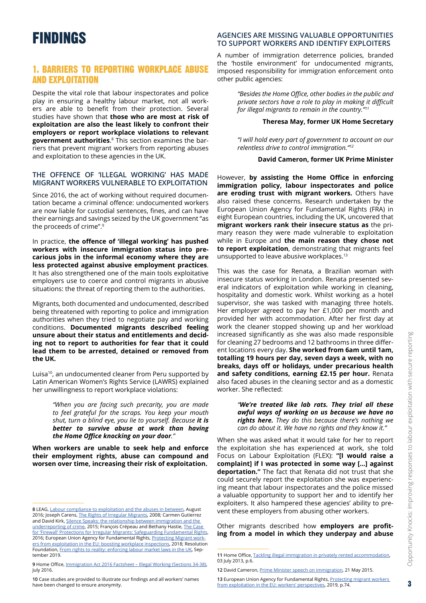# FINDINGS

# 1. BARRIERS TO REPORTING WORKPLACE ABUSE AND EXPLOITATION

Despite the vital role that labour inspectorates and police play in ensuring a healthy labour market, not all workers are able to benefit from their protection. Several studies have shown that **those who are most at risk of exploitation are also the least likely to confront their employers or report workplace violations to relevant government authorities**. <sup>8</sup> This section examines the barriers that prevent migrant workers from reporting abuses and exploitation to these agencies in the UK.

#### **THE OFFENCE OF 'ILLEGAL WORKING' HAS MADE MIGRANT WORKERS VULNERABLE TO EXPLOITATION**

Since 2016, the act of working without required documentation became a criminal offence: undocumented workers are now liable for custodial sentences, fines, and can have their earnings and savings seized by the UK government "as the proceeds of crime".9

In practice, **the offence of 'illegal working' has pushed workers with insecure immigration status into precarious jobs in the informal economy where they are less protected against abusive employment practices**. It has also strengthened one of the main tools exploitative employers use to coerce and control migrants in abusive situations: the threat of reporting them to the authorities.

Migrants, both documented and undocumented, described being threatened with reporting to police and immigration authorities when they tried to negotiate pay and working conditions. **Documented migrants described feeling unsure about their status and entitlements and deciding not to report to authorities for fear that it could lead them to be arrested, detained or removed from the UK.**

Luisa10, an undocumented cleaner from Peru supported by Latin American Women's Rights Service (LAWRS) explained her unwillingness to report workplace violations:

> *"When you are facing such precarity, you are made to feel grateful for the scraps. You keep your mouth shut, turn a blind eye, you lie to yourself. Because it is better to survive abuse at work than having the Home Office knocking on your door."*

**When workers are unable to seek help and enforce their employment rights, abuse can compound and worsen over time, increasing their risk of exploitation.**

#### **AGENCIES ARE MISSING VALUABLE OPPORTUNITIES TO SUPPORT WORKERS AND IDENTIFY EXPLOITERS**

A number of immigration deterrence policies, branded the 'hostile environment' for undocumented migrants, imposed responsibility for immigration enforcement onto other public agencies:

> *"Besides the Home Office, other bodies in the public and private sectors have a role to play in making it difficult for illegal migrants to remain in the country."11*

#### **Theresa May, former UK Home Secretary**

*"I will hold every part of government to account on our relentless drive to control immigration."12*

#### **David Cameron, former UK Prime Minister**

However, **by assisting the Home Office in enforcing immigration policy, labour inspectorates and police are eroding trust with migrant workers.** Others have also raised these concerns. Research undertaken by the European Union Agency for Fundamental Rights (FRA) in eight European countries, including the UK, uncovered that **migrant workers rank their insecure status as** the primary reason they were made vulnerable to exploitation while in Europe and **the main reason they chose not to report exploitation**, demonstrating that migrants feel unsupported to leave abusive workplaces.13

This was the case for Renata, a Brazilian woman with insecure status working in London. Renata presented several indicators of exploitation while working in cleaning, hospitality and domestic work. Whilst working as a hotel supervisor, she was tasked with managing three hotels. Her employer agreed to pay her £1,000 per month and provided her with accommodation. After her first day at work the cleaner stopped showing up and her workload increased significantly as she was also made responsible for cleaning 27 bedrooms and 12 bathrooms in three different locations every day. **She worked from 6am until 1am, totalling 19 hours per day, seven days a week, with no breaks, days off or holidays, under precarious health and safety conditions, earning £2.15 per hour.** Renata also faced abuses in the cleaning sector and as a domestic worker. She reflected:

> *"We're treated like lab rats. They trial all these awful ways of working on us because we have no rights here. They do this because there's nothing we can do about it. We have no rights and they know it."*

When she was asked what it would take for her to report the exploitation she has experienced at work, she told Focus on Labour Exploitation (FLEX): **"[I would raise a complaint] if I was protected in some way […] against deportation."** The fact that Renata did not trust that she could securely report the exploitation she was experiencing meant that labour inspectorates and the police missed a valuable opportunity to support her and to identify her exploiters. It also hampered these agencies' ability to prevent these employers from abusing other workers.

Other migrants described how **employers are profiting from a model in which they underpay and abuse** 

**<sup>8</sup>** LEAG, [Labour compliance to exploitation and the abuses in between,](https://www.labourexploitation.org/publications/labour-exploitation-advisory-group-leag-position-paper-labour-compliance-exploitation) August 2016; Joseph Carens, [The Rights of Irregular Migrants,](http://www.lecre.umontreal.ca/wp-content/uploads/2008/12/pdf_Joe_Carens.pdf) 2008; Carmen Gutierrez and David Kirk, [Silence Speaks: the relationship between immigration and the](https://journals.sagepub.com/doi/abs/10.1177/0011128715599993) [underreporting of crime,](https://journals.sagepub.com/doi/abs/10.1177/0011128715599993) 2015; François Crépeau and Bethany Hastie, [The Case](https://papers.ssrn.com/sol3/papers.cfm?abstract_id=2780641)  [for 'Firewall' Protections for Irregular Migrants: Safeguarding Fundamental Rights,](https://papers.ssrn.com/sol3/papers.cfm?abstract_id=2780641) 2016; European Union Agency for Fundamental Rights, [Protecting Migrant work](https://fra.europa.eu/sites/default/files/fra_uploads/fra-2018-protecting-migrant-workers-boosting-inspections_en.pdf)[ers from exploitation in the EU: boosting workplace inspections,](https://fra.europa.eu/sites/default/files/fra_uploads/fra-2018-protecting-migrant-workers-boosting-inspections_en.pdf) 2018; Resolution Foundation, [From rights to reality: enforcing labour market laws in the UK](https://www.resolutionfoundation.org/app/uploads/2019/09/Enforcement-spotlight-1.pdf), September 2019.

**<sup>9</sup>** Home Office, [Immigration Act 2016 Factsheet – Illegal Working \(Sections 34-38\)](https://assets.publishing.service.gov.uk/government/uploads/system/uploads/attachment_data/file/537205/Immigration_Act_-_Part_1_-_Illegal_Working.pdf), July 2016.

**<sup>10</sup>** Case studies are provided to illustrate our findings and all workers' names have been changed to ensure anonymity.

**<sup>11</sup>** Home Office, [Tackling illegal immigration in privately rented accommodation](https://assets.publishing.service.gov.uk/government/uploads/system/uploads/attachment_data/file/226713/consultation.pdf), 03 July 2013, p.6.

**<sup>12</sup>** David Cameron, [Prime Minister speech on immigration,](https://www.gov.uk/government/speeches/pm-speech-on-immigration) 21 May 2015.

**<sup>13</sup>** European Union Agency for Fundamental Rights, [Protecting migrant workers](https://fra.europa.eu/sites/default/files/fra_uploads/fra-2019-severe-labour-exploitation-workers-perspectives_en.pdf)  [from exploitation in the EU: workers' perspectives,](https://fra.europa.eu/sites/default/files/fra_uploads/fra-2019-severe-labour-exploitation-workers-perspectives_en.pdf) 2019, p.74.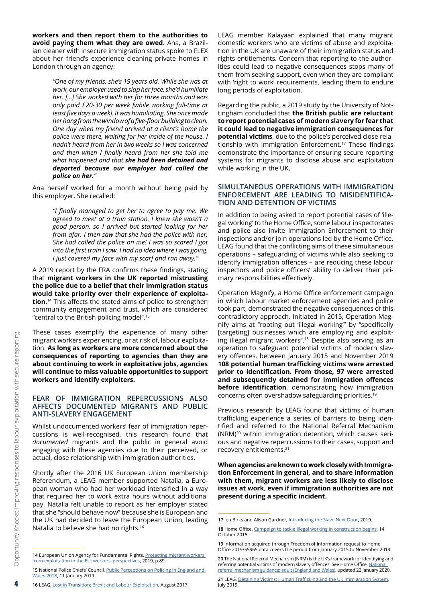**workers and then report them to the authorities to avoid paying them what they are owed**. Ana, a Brazilian cleaner with insecure immigration status spoke to FLEX about her friend's experience cleaning private homes in London through an agency:

> *"One of my friends, she's 19 years old. While she was at work, our employer used to slap her face, she'd humiliate her. […] She worked with her for three months and was only paid £20-30 per week [while working full-time at least five days a week]. It was humiliating. She once made her hang from the window of a five-floor building to clean. One day when my friend arrived at a client's home the police were there, waiting for her inside of the house. I hadn't heard from her in two weeks so I was concerned and then when I finally heard from her she told me what happened and that she had been detained and deported because our employer had called the police on her."*

Ana herself worked for a month without being paid by this employer. She recalled:

> *"I finally managed to get her to agree to pay me. We agreed to meet at a train station. I knew she wasn't a good person, so I arrived but started looking for her from afar. I then saw that she had the police with her. She had called the police on me! I was so scared I got into the first train I saw. I had no idea where I was going. I just covered my face with my scarf and ran away."*

A 2019 report by the FRA confirms these findings, stating that **migrant workers in the UK reported mistrusting the police due to a belief that their immigration status would take priority over their experience of exploitation.**<sup>14</sup> This affects the stated aims of police to strengthen community engagement and trust, which are considered "central to the British policing model".15

These cases exemplify the experience of many other migrant workers experiencing, or at risk of, labour exploitation. **As long as workers are more concerned about the consequences of reporting to agencies than they are about continuing to work in exploitative jobs, agencies will continue to miss valuable opportunities to support workers and identify exploiters.**

#### **FEAR OF IMMIGRATION REPERCUSSIONS ALSO AFFECTS DOCUMENTED MIGRANTS AND PUBLIC ANTI-SLAVERY ENGAGEMENT**

Whilst undocumented workers' fear of immigration repercussions is well-recognised, this research found that *documented* migrants and the public in general avoid engaging with these agencies due to their perceived, or actual, close relationship with immigration authorities.

Shortly after the 2016 UK European Union membership Referendum, a LEAG member supported Natalia, a European woman who had her workload intensified in a way that required her to work extra hours without additional pay. Natalia felt unable to report as her employer stated that she "should behave now" because she is European and the UK had decided to leave the European Union, leading Natalia to believe she had no rights.<sup>16</sup>

**14** European Union Agency for Fundamental Rights, [Protecting migrant workers](https://fra.europa.eu/sites/default/files/fra_uploads/fra-2019-severe-labour-exploitation-workers-perspectives_en.pdf)  [from exploitation in the EU: workers' perspectives,](https://fra.europa.eu/sites/default/files/fra_uploads/fra-2019-severe-labour-exploitation-workers-perspectives_en.pdf) 2019, p.89.

LEAG member Kalayaan explained that many migrant domestic workers who are victims of abuse and exploitation in the UK are unaware of their immigration status and rights entitlements. Concern that reporting to the authorities could lead to negative consequences stops many of them from seeking support, even when they are compliant with 'right to work' requirements, leading them to endure long periods of exploitation.

Regarding the public, a 2019 study by the University of Nottingham concluded that **the British public are reluctant to report potential cases of modern slavery for fear that it could lead to negative immigration consequences for potential victims**, due to the police's perceived close relationship with Immigration Enforcement.<sup>17</sup> These findings demonstrate the importance of ensuring secure reporting systems for migrants to disclose abuse and exploitation while working in the UK.

#### **SIMULTANEOUS OPERATIONS WITH IMMIGRATION ENFORCEMENT ARE LEADING TO MISIDENTIFICA-TION AND DETENTION OF VICTIMS**

In addition to being asked to report potential cases of 'illegal working' to the Home Office, some labour inspectorates and police also invite Immigration Enforcement to their inspections and/or join operations led by the Home Office. LEAG found that the conflicting aims of these simultaneous operations – safeguarding of victims while also seeking to identify immigration offences – are reducing these labour inspectors and police officers' ability to deliver their primary responsibilities effectively.

Operation Magnify, a Home Office enforcement campaign in which labour market enforcement agencies and police took part, demonstrated the negative consequences of this contradictory approach. Initiated in 2015, Operation Magnify aims at "rooting out 'illegal working'" by "specifically [targeting] businesses which are employing and exploiting illegal migrant workers".18 Despite also serving as an operation to safeguard potential victims of modern slavery offences, between January 2015 and November 2019 **108 potential human trafficking victims were arrested prior to identification. From those, 97 were arrested and subsequently detained for immigration offences before identification**, demonstrating how immigration concerns often overshadow safeguarding priorities.19

Previous research by LEAG found that victims of human trafficking experience a series of barriers to being identified and referred to the National Referral Mechanism (NRM)20 within immigration detention, which causes serious and negative repercussions to their cases, support and recovery entitlements.21

**When agencies are known to work closely with Immigration Enforcement in general, and to share information with them, migrant workers are less likely to disclose issues at work, even if immigration authorities are not present during a specific incident.**

4

<sup>15</sup> National Police Chiefs' Council, Public Perceptions on Policing in England and [Wales 2018,](https://news.npcc.police.uk/releases/public-perceptions-of-policing-in-england-and-wales-2018) 11 January 2019.

**<sup>16</sup>** LEAG, [Lost in Transition: Brexit and Labour Exploitation](https://www.labourexploitation.org/publications/lost-transition-brexit-labour-exploitation), August 2017.

**<sup>17</sup>** Jen Birks and Alison Gardner, [Introducing the Slave Next Door](https://www.antitraffickingreview.org/index.php/atrjournal/article/view/407/341), 2019.

**<sup>18</sup>** Home Office, [Campaign to tackle illegal working in construction begins,](https://www.gov.uk/government/news/campaign-to-tackle-illegal-working-in-construction-begins) 14 October 2015.

**<sup>19</sup>** Information acquired through Freedom of Information request to Home Office 2019/55965 data covers the period from January 2015 to November 2019.

**<sup>20</sup>** The National Referral Mechanism (NRM) is the UK's framework for identifying and referring potential victims of modern slavery offences. See Home Office, National [referral mechanism guidance: adult \(England and Wales\),](https://www.gov.uk/government/publications/human-trafficking-victims-referral-and-assessment-forms/guidance-on-the-national-referral-mechanism-for-potential-adult-victims-of-modern-slavery-england-and-wales) updated 22 January 2020.

**<sup>21</sup>** LEAG, [Detaining Victims: Human Trafficking](https://www.labourexploitation.org/publications/detaining-victims-human-trafficking-and-uk-immigration-system) and the UK Immigration System, July 2019.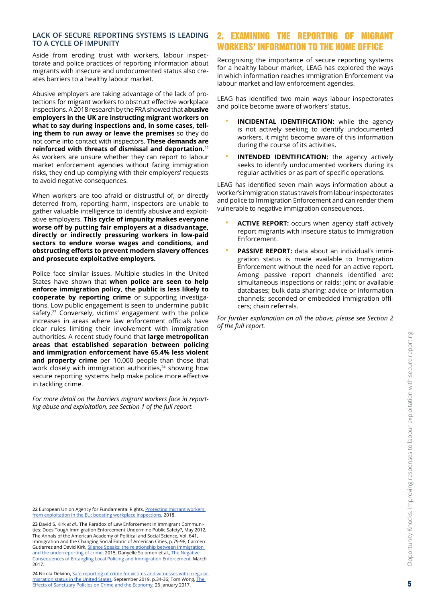#### **LACK OF SECURE REPORTING SYSTEMS IS LEADING TO A CYCLE OF IMPUNITY**

Aside from eroding trust with workers, labour inspectorate and police practices of reporting information about migrants with insecure and undocumented status also creates barriers to a healthy labour market.

Abusive employers are taking advantage of the lack of protections for migrant workers to obstruct effective workplace inspections. A 2018 research by the FRA showed that **abusive employers in the UK are instructing migrant workers on what to say during inspections and, in some cases, telling them to run away or leave the premises** so they do not come into contact with inspectors. **These demands are reinforced with threats of dismissal and deportation.**<sup>22</sup> As workers are unsure whether they can report to labour market enforcement agencies without facing immigration risks, they end up complying with their employers' requests to avoid negative consequences.

When workers are too afraid or distrustful of, or directly deterred from, reporting harm, inspectors are unable to gather valuable intelligence to identify abusive and exploitative employers. **This cycle of impunity makes everyone worse off by putting fair employers at a disadvantage, directly or indirectly pressuring workers in low-paid sectors to endure worse wages and conditions, and obstructing efforts to prevent modern slavery offences and prosecute exploitative employers.**

Police face similar issues. Multiple studies in the United States have shown that **when police are seen to help enforce immigration policy, the public is less likely to cooperate by reporting crime** or supporting investigations. Low public engagement is seen to undermine public safety.<sup>23</sup> Conversely, victims' engagement with the police increases in areas where law enforcement officials have clear rules limiting their involvement with immigration authorities. A recent study found that **large metropolitan areas that established separation between policing and immigration enforcement have 65.4% less violent and property crime** per 10,000 people than those that work closely with immigration authorities,<sup>24</sup> showing how secure reporting systems help make police more effective in tackling crime.

*For more detail on the barriers migrant workers face in reporting abuse and exploitation, see Section 1 of the full report.*

## 2. EXAMINING THE REPORTING OF MIGRANT WORKERS' INFORMATION TO THE HOME OFFICE

Recognising the importance of secure reporting systems for a healthy labour market, LEAG has explored the ways in which information reaches Immigration Enforcement via labour market and law enforcement agencies.

LEAG has identified two main ways labour inspectorates and police become aware of workers' status.

- **INCIDENTAL IDENTIFICATION:** while the agency is not actively seeking to identify undocumented workers, it might become aware of this information during the course of its activities.
- **INTENDED IDENTIFICATION:** the agency actively seeks to identify undocumented workers during its regular activities or as part of specific operations.

LEAG has identified seven main ways information about a worker's immigration status travels from labour inspectorates and police to Immigration Enforcement and can render them vulnerable to negative immigration consequences.

- **ACTIVE REPORT:** occurs when agency staff actively report migrants with insecure status to Immigration Enforcement.
- **PASSIVE REPORT:** data about an individual's immigration status is made available to Immigration Enforcement without the need for an active report. Among passive report channels identified are: simultaneous inspections or raids; joint or available databases; bulk data sharing; advice or information channels; seconded or embedded immigration officers; chain referrals.

*For further explanation on all the above, please see Section 2 of the full report.*

<sup>22</sup> European Union Agency for Fundamental Rights, **Protecting migrant workers** [from exploitation in the EU: boosting workplace inspections,](https://fra.europa.eu/en/publication/2018/protecting-migrant-workers-exploitation-eu-boosting-workplace-inspections) 2018.

**<sup>23</sup>** David S. Kirk *et al.,* The Paradox of Law Enforcement in Immigrant Communities: Does Tough Immigration Enforcement Undermine Public Safety?, May 2012, The Annals of the American Academy of Political and Social Science, Vol. 641, Immigration and the Changing Social Fabric of American Cities, p.79-98; Carmen Gutierrez and David Kirk, [Silence Speaks: the relationship between immigration](https://journals.sagepub.com/doi/abs/10.1177/0011128715599993)  [and the underreporting of crime](https://journals.sagepub.com/doi/abs/10.1177/0011128715599993), 2015; Danyelle Solomon et al., [The Negative](https://cdn.americanprogress.org/content/uploads/2017/03/20140134/LawEnforcementSanctuary-brief.pdf)  [Consequences of Entangling Local Policing and Immigration Enforcement](https://cdn.americanprogress.org/content/uploads/2017/03/20140134/LawEnforcementSanctuary-brief.pdf), March 2017.

**<sup>24</sup>** Nicola Delvino, [Safe reporting of crime for victims and witnesses with irregular](https://www.compas.ox.ac.uk/wp-content/uploads/SR19-US-country-report-1.pdf)  [migration status in the United States,](https://www.compas.ox.ac.uk/wp-content/uploads/SR19-US-country-report-1.pdf) September 2019, p.34-36; Tom Wong, [The](https://www.americanprogress.org/issues/immigration/reports/2017/01/26/297366/the-effects-of-sanctuary-policies-on-crime-and-the-economy/)  [Effects of Sanctuary Policies on Crime](https://www.americanprogress.org/issues/immigration/reports/2017/01/26/297366/the-effects-of-sanctuary-policies-on-crime-and-the-economy/) and the Economy, 26 January 2017.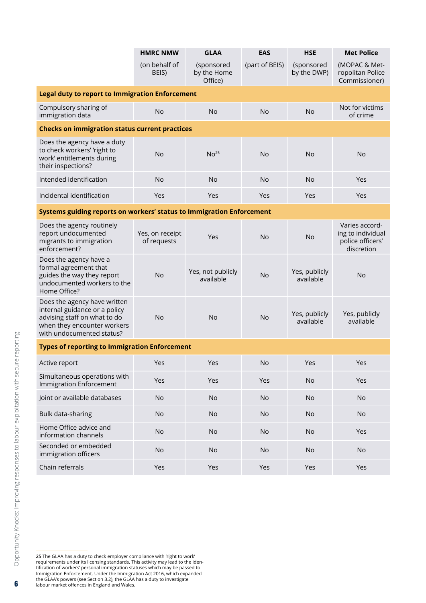|                                                                                                                                                           | <b>HMRC NMW</b>                | <b>GLAA</b>                          | <b>EAS</b>     | <b>HSE</b>                 | <b>Met Police</b>                                                     |
|-----------------------------------------------------------------------------------------------------------------------------------------------------------|--------------------------------|--------------------------------------|----------------|----------------------------|-----------------------------------------------------------------------|
|                                                                                                                                                           | (on behalf of<br>BEIS)         | (sponsored<br>by the Home<br>Office) | (part of BEIS) | (sponsored<br>by the DWP)  | (MOPAC & Met-<br>ropolitan Police<br>Commissioner)                    |
| <b>Legal duty to report to Immigration Enforcement</b>                                                                                                    |                                |                                      |                |                            |                                                                       |
| Compulsory sharing of<br>immigration data                                                                                                                 | <b>No</b>                      | <b>No</b>                            | No             | <b>No</b>                  | Not for victims<br>of crime                                           |
| <b>Checks on immigration status current practices</b>                                                                                                     |                                |                                      |                |                            |                                                                       |
| Does the agency have a duty<br>to check workers' 'right to<br>work' entitlements during<br>their inspections?                                             | <b>No</b>                      | No <sup>25</sup>                     | No             | <b>No</b>                  | <b>No</b>                                                             |
| Intended identification                                                                                                                                   | <b>No</b>                      | <b>No</b>                            | <b>No</b>      | <b>No</b>                  | Yes                                                                   |
| Incidental identification                                                                                                                                 | Yes                            | Yes                                  | Yes            | <b>Yes</b>                 | Yes                                                                   |
| Systems guiding reports on workers' status to Immigration Enforcement                                                                                     |                                |                                      |                |                            |                                                                       |
| Does the agency routinely<br>report undocumented<br>migrants to immigration<br>enforcement?                                                               | Yes, on receipt<br>of requests | Yes                                  | <b>No</b>      | <b>No</b>                  | Varies accord-<br>ing to individual<br>police officers'<br>discretion |
| Does the agency have a<br>formal agreement that<br>guides the way they report<br>undocumented workers to the<br>Home Office?                              | <b>No</b>                      | Yes, not publicly<br>available       | <b>No</b>      | Yes, publicly<br>available | <b>No</b>                                                             |
| Does the agency have written<br>internal guidance or a policy<br>advising staff on what to do<br>when they encounter workers<br>with undocumented status? | <b>No</b>                      | <b>No</b>                            | No             | Yes, publicly<br>available | Yes, publicly<br>available                                            |
| <b>Types of reporting to Immigration Enforcement</b>                                                                                                      |                                |                                      |                |                            |                                                                       |
| Active report                                                                                                                                             | Yes                            | Yes                                  | No             | Yes                        | Yes                                                                   |
| Simultaneous operations with<br><b>Immigration Enforcement</b>                                                                                            | Yes                            | Yes                                  | Yes            | <b>No</b>                  | Yes                                                                   |
| Joint or available databases                                                                                                                              | <b>No</b>                      | <b>No</b>                            | <b>No</b>      | No                         | <b>No</b>                                                             |
| Bulk data-sharing                                                                                                                                         | <b>No</b>                      | <b>No</b>                            | No             | <b>No</b>                  | <b>No</b>                                                             |
| Home Office advice and<br>information channels                                                                                                            | <b>No</b>                      | <b>No</b>                            | <b>No</b>      | No                         | Yes                                                                   |
| Seconded or embedded<br>immigration officers                                                                                                              | <b>No</b>                      | <b>No</b>                            | <b>No</b>      | No                         | <b>No</b>                                                             |
| Chain referrals                                                                                                                                           | Yes                            | Yes                                  | Yes            | Yes                        | Yes                                                                   |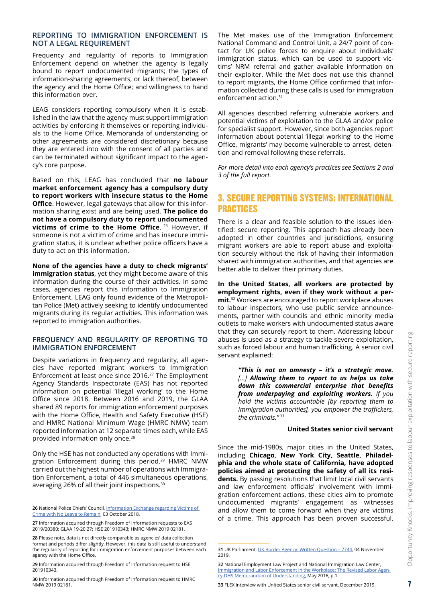#### **REPORTING TO IMMIGRATION ENFORCEMENT IS NOT A LEGAL REQUIREMENT**

Frequency and regularity of reports to Immigration Enforcement depend on whether the agency is legally bound to report undocumented migrants; the types of information-sharing agreements, or lack thereof, between the agency and the Home Office; and willingness to hand this information over.

LEAG considers reporting compulsory when it is established in the law that the agency must support immigration activities by enforcing it themselves or reporting individuals to the Home Office. Memoranda of understanding or other agreements are considered discretionary because they are entered into with the consent of all parties and can be terminated without significant impact to the agency's core purpose.

Based on this, LEAG has concluded that **no labour market enforcement agency has a compulsory duty to report workers with insecure status to the Home Office**. However, legal gateways that allow for this information sharing exist and are being used. **The police do not have a compulsory duty to report undocumented victims of crime to the Home Office.** 26 However, if someone is not a victim of crime and has insecure immigration status, it is unclear whether police officers have a duty to act on this information.

**None of the agencies have a duty to check migrants' immigration status**, yet they might become aware of this information during the course of their activities. In some cases, agencies report this information to Immigration Enforcement. LEAG only found evidence of the Metropolitan Police (Met) actively seeking to identify undocumented migrants during its regular activities. This information was reported to immigration authorities.

#### **FREQUENCY AND REGULARITY OF REPORTING TO IMMIGRATION ENFORCEMENT**

Despite variations in frequency and regularity, all agencies have reported migrant workers to Immigration Enforcement at least once since 2016.27 The Employment Agency Standards Inspectorate (EAS) has not reported information on potential 'illegal working' to the Home Office since 2018. Between 2016 and 2019, the GLAA shared 89 reports for immigration enforcement purposes with the Home Office, Health and Safety Executive (HSE) and HMRC National Minimum Wage (HMRC NMW) team reported information at 12 separate times each, while EAS provided information only once.28

Only the HSE has not conducted any operations with Immigration Enforcement during this period.<sup>29</sup> HMRC NMW carried out the highest number of operations with Immigration Enforcement, a total of 446 simultaneous operations, averaging 26% of all their joint inspections.30

The Met makes use of the Immigration Enforcement National Command and Control Unit, a 24/7 point of contact for UK police forces to enquire about individuals' immigration status, which can be used to support victims' NRM referral and gather available information on their exploiter. While the Met does not use this channel to report migrants, the Home Office confirmed that information collected during these calls is used for immigration enforcement action.<sup>31</sup>

All agencies described referring vulnerable workers and potential victims of exploitation to the GLAA and/or police for specialist support. However, since both agencies report information about potential 'illegal working' to the Home Office, migrants' may become vulnerable to arrest, detention and removal following these referrals.

*For more detail into each agency's practices see Sections 2 and 3 of the full report.*

## 3. SECURE REPORTING SYSTEMS: INTERNATIONAL PRACTICES

There is a clear and feasible solution to the issues identified: secure reporting. This approach has already been adopted in other countries and jurisdictions, ensuring migrant workers are able to report abuse and exploitation securely without the risk of having their information shared with immigration authorities, and that agencies are better able to deliver their primary duties.

**In the United States, all workers are protected by employment rights, even if they work without a permit.**<sup>32</sup> Workers are encouraged to report workplace abuses to labour inspectors, who use public service announcements, partner with councils and ethnic minority media outlets to make workers with undocumented status aware that they can securely report to them. Addressing labour abuses is used as a strategy to tackle severe exploitation, such as forced labour and human trafficking. A senior civil servant explained:

> *"This is not an amnesty – it's a strategic move. […] Allowing them to report to us helps us take down this commercial enterprise that benefits from underpaying and exploiting workers. If you hold the victims accountable [by reporting them to immigration authorities], you empower the traffickers, the criminals." 33*

## **United States senior civil servant**

Since the mid-1980s, major cities in the United States, including **Chicago, New York City, Seattle, Philadelphia and the whole state of California, have adopted policies aimed at protecting the safety of all its residents.** By passing resolutions that limit local civil servants and law enforcement officials' involvement with immigration enforcement actions, these cities aim to promote undocumented migrants' engagement as witnesses and allow them to come forward when they are victims of a crime. This approach has been proven successful.

**<sup>26</sup>** National Police Chiefs' Council, [Information Exchange regarding Victims of](https://assets.publishing.service.gov.uk/government/uploads/system/uploads/attachment_data/file/767718/Appendix_1.pdf)  [Crime with No Leave to Remain](https://assets.publishing.service.gov.uk/government/uploads/system/uploads/attachment_data/file/767718/Appendix_1.pdf), 03 October 2018.

**<sup>27</sup>** Information acquired through Freedom of Information requests to EAS 2019/20380; GLAA 19-20 27; HSE 201910343; HMRC NMW 2019 02181.

**<sup>28</sup>** Please note, data is not directly comparable as agencies' data collection format and periods differ slightly. However, this data is still useful to understand the regularity of reporting for immigration enforcement purposes between each agency with the Home Office.

**<sup>29</sup>** Information acquired through Freedom of Information request to HSE 201910343.

**<sup>30</sup>** Information acquired through Freedom of Information request to HMRC NMW 2019 02181.

**<sup>31</sup>** UK Parliament, [UK Border Agency: Written Question – 7744](https://www.parliament.uk/business/publications/written-questions-answers-statements/written-question/Commons/2019-10-30/7744/), 04 November 2019.

**<sup>32</sup>** National Employment Law Project and National Immigration Law Center, [Immigration and Labor Enforcement in the Workplace: The Revised Labor Agen](https://www.nilc.org/wp-content/uploads/2015/11/ImmigrationLaborEnforcementWorkplace.pdf)[cy-DHS Memorandum of Understanding](https://www.nilc.org/wp-content/uploads/2015/11/ImmigrationLaborEnforcementWorkplace.pdf), May 2016, p.1.